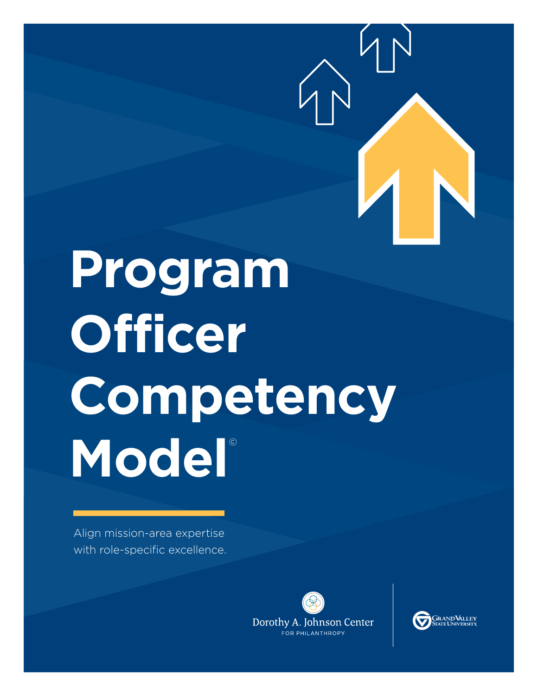

# **Program Officer Competency**  Model<sup>®</sup>

Align mission-area expertise with role-specific excellence.



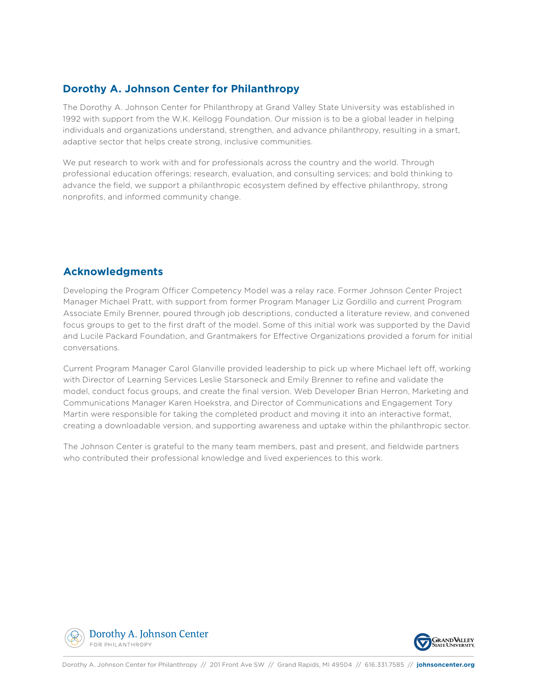### **Dorothy A. Johnson Center for Philanthropy**

The Dorothy A. Johnson Center for Philanthropy at Grand Valley State University was established in 1992 with support from the W.K. Kellogg Foundation. Our mission is to be a global leader in helping individuals and organizations understand, strengthen, and advance philanthropy, resulting in a smart, adaptive sector that helps create strong, inclusive communities.

We put research to work with and for professionals across the country and the world. Through professional education offerings; research, evaluation, and consulting services; and bold thinking to advance the field, we support a philanthropic ecosystem defined by effective philanthropy, strong nonprofits, and informed community change.

### **Acknowledgments**

Developing the Program Officer Competency Model was a relay race. Former Johnson Center Project Manager Michael Pratt, with support from former Program Manager Liz Gordillo and current Program Associate Emily Brenner, poured through job descriptions, conducted a literature review, and convened focus groups to get to the first draft of the model. Some of this initial work was supported by the David and Lucile Packard Foundation, and Grantmakers for Effective Organizations provided a forum for initial conversations.

Current Program Manager Carol Glanville provided leadership to pick up where Michael left off, working with Director of Learning Services Leslie Starsoneck and Emily Brenner to refine and validate the model, conduct focus groups, and create the final version. Web Developer Brian Herron, Marketing and Communications Manager Karen Hoekstra, and Director of Communications and Engagement Tory Martin were responsible for taking the completed product and moving it into an interactive format, creating a downloadable version, and supporting awareness and uptake within the philanthropic sector.

The Johnson Center is grateful to the many team members, past and present, and fieldwide partners who contributed their professional knowledge and lived experiences to this work.



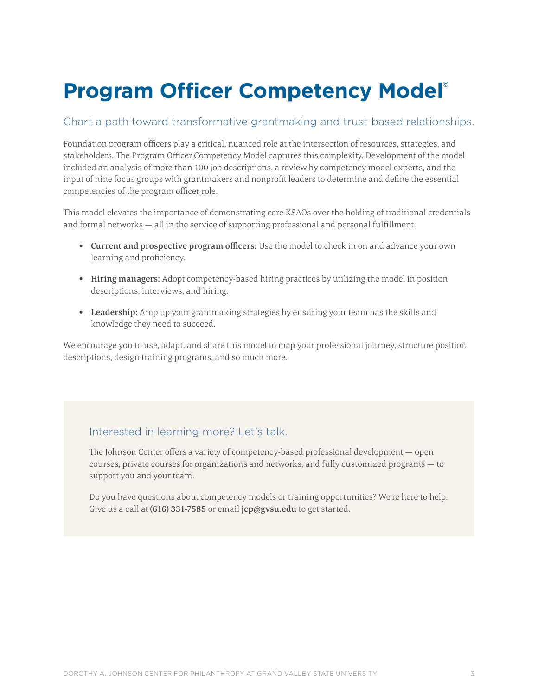## **Program Officer Competency Model©**

### Chart a path toward transformative grantmaking and trust-based relationships.

Foundation program officers play a critical, nuanced role at the intersection of resources, strategies, and stakeholders. The Program Officer Competency Model captures this complexity. Development of the model included an analysis of more than 100 job descriptions, a review by competency model experts, and the input of nine focus groups with grantmakers and nonprofit leaders to determine and define the essential competencies of the program officer role.

This model elevates the importance of demonstrating core KSAOs over the holding of traditional credentials and formal networks — all in the service of supporting professional and personal fulfillment.

- Current and prospective program officers: Use the model to check in on and advance your own learning and proficiency.
- Hiring managers: Adopt competency-based hiring practices by utilizing the model in position descriptions, interviews, and hiring.
- Leadership: Amp up your grantmaking strategies by ensuring your team has the skills and knowledge they need to succeed.

We encourage you to use, adapt, and share this model to map your professional journey, structure position descriptions, design training programs, and so much more.

### Interested in learning more? Let's talk.

The Johnson Center offers a variety of competency-based professional development — open courses, private courses for organizations and networks, and fully customized programs — to support you and your team.

Do you have questions about competency models or training opportunities? We're here to help. Give us a call at (616) 331-7585 or email jcp@gysu.edu to get started.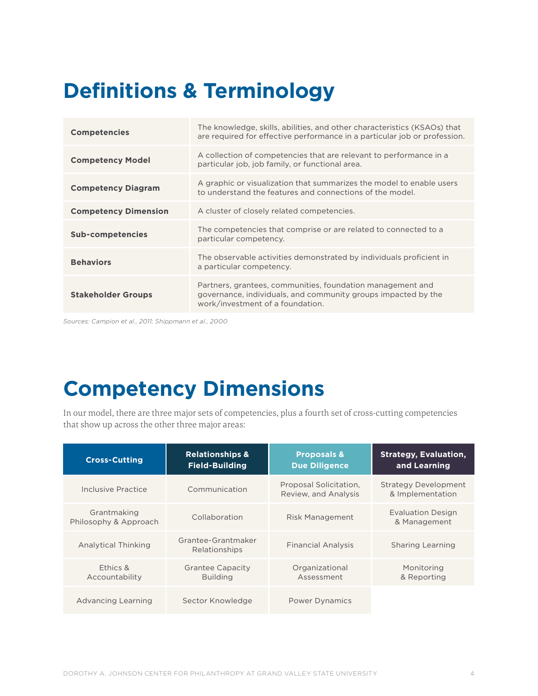### **Definitions & Terminology**

| <b>Competencies</b>         | The knowledge, skills, abilities, and other characteristics (KSAOs) that<br>are required for effective performance in a particular job or profession.           |
|-----------------------------|-----------------------------------------------------------------------------------------------------------------------------------------------------------------|
| <b>Competency Model</b>     | A collection of competencies that are relevant to performance in a<br>particular job, job family, or functional area.                                           |
| <b>Competency Diagram</b>   | A graphic or visualization that summarizes the model to enable users<br>to understand the features and connections of the model.                                |
| <b>Competency Dimension</b> | A cluster of closely related competencies.                                                                                                                      |
| <b>Sub-competencies</b>     | The competencies that comprise or are related to connected to a<br>particular competency.                                                                       |
| <b>Behaviors</b>            | The observable activities demonstrated by individuals proficient in<br>a particular competency.                                                                 |
| <b>Stakeholder Groups</b>   | Partners, grantees, communities, foundation management and<br>governance, individuals, and community groups impacted by the<br>work/investment of a foundation. |

*Sources: Campion et al., 2011; Shippmann et al., 2000*

### **Competency Dimensions**

In our model, there are three major sets of competencies, plus a fourth set of cross-cutting competencies that show up across the other three major areas:

| <b>Cross-Cutting</b>                 | <b>Relationships &amp;</b><br><b>Field-Building</b> | <b>Proposals &amp;</b><br><b>Due Diligence</b> | <b>Strategy, Evaluation,</b><br>and Learning    |
|--------------------------------------|-----------------------------------------------------|------------------------------------------------|-------------------------------------------------|
| Inclusive Practice                   | Communication                                       | Proposal Solicitation,<br>Review, and Analysis | <b>Strategy Development</b><br>& Implementation |
| Grantmaking<br>Philosophy & Approach | Collaboration                                       | <b>Risk Management</b>                         | <b>Evaluation Design</b><br>& Management        |
| <b>Analytical Thinking</b>           | Grantee-Grantmaker<br>Relationships                 | <b>Financial Analysis</b>                      | Sharing Learning                                |
| Ethics &<br>Accountability           | <b>Grantee Capacity</b><br><b>Building</b>          | Organizational<br>Assessment                   | Monitoring<br>& Reporting                       |
| Advancing Learning                   | Sector Knowledge                                    | <b>Power Dynamics</b>                          |                                                 |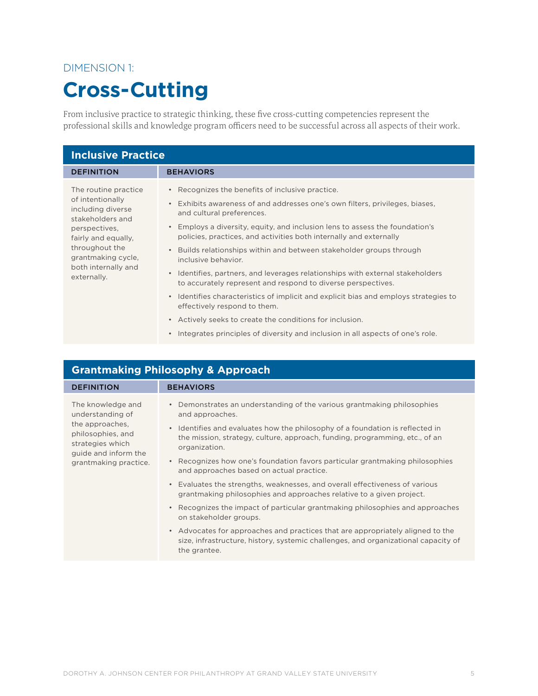### DIMENSION 1:

### **Cross-Cutting**

From inclusive practice to strategic thinking, these five cross-cutting competencies represent the professional skills and knowledge program officers need to be successful across all aspects of their work.

| <b>Inclusive Practice</b>                                                                                                                                                                               |                                                                                                                                                                                                                                                                                                                                                                                                                                                                                                                                                                                                                                                                                                                                                                                                                                    |  |
|---------------------------------------------------------------------------------------------------------------------------------------------------------------------------------------------------------|------------------------------------------------------------------------------------------------------------------------------------------------------------------------------------------------------------------------------------------------------------------------------------------------------------------------------------------------------------------------------------------------------------------------------------------------------------------------------------------------------------------------------------------------------------------------------------------------------------------------------------------------------------------------------------------------------------------------------------------------------------------------------------------------------------------------------------|--|
| <b>DEFINITION</b>                                                                                                                                                                                       | <b>BEHAVIORS</b>                                                                                                                                                                                                                                                                                                                                                                                                                                                                                                                                                                                                                                                                                                                                                                                                                   |  |
| The routine practice<br>of intentionally<br>including diverse<br>stakeholders and<br>perspectives,<br>fairly and equally,<br>throughout the<br>grantmaking cycle,<br>both internally and<br>externally. | Recognizes the benefits of inclusive practice.<br>Exhibits awareness of and addresses one's own filters, privileges, biases,<br>and cultural preferences.<br>Employs a diversity, equity, and inclusion lens to assess the foundation's<br>policies, practices, and activities both internally and externally<br>Builds relationships within and between stakeholder groups through<br>inclusive behavior.<br>• Identifies, partners, and leverages relationships with external stakeholders<br>to accurately represent and respond to diverse perspectives.<br>• Identifies characteristics of implicit and explicit bias and employs strategies to<br>effectively respond to them.<br>• Actively seeks to create the conditions for inclusion.<br>Integrates principles of diversity and inclusion in all aspects of one's role. |  |

| <b>Grantmaking Philosophy &amp; Approach</b>                                                                                                       |                                                                                                                                                                                                                                                                                                                                                                                                                                                                                                                                                                                                                                                                                                                                                                                                                                                                                                             |  |
|----------------------------------------------------------------------------------------------------------------------------------------------------|-------------------------------------------------------------------------------------------------------------------------------------------------------------------------------------------------------------------------------------------------------------------------------------------------------------------------------------------------------------------------------------------------------------------------------------------------------------------------------------------------------------------------------------------------------------------------------------------------------------------------------------------------------------------------------------------------------------------------------------------------------------------------------------------------------------------------------------------------------------------------------------------------------------|--|
| <b>DEFINITION</b>                                                                                                                                  | <b>BEHAVIORS</b>                                                                                                                                                                                                                                                                                                                                                                                                                                                                                                                                                                                                                                                                                                                                                                                                                                                                                            |  |
| The knowledge and<br>understanding of<br>the approaches,<br>philosophies, and<br>strategies which<br>guide and inform the<br>grantmaking practice. | Demonstrates an understanding of the various grantmaking philosophies<br>$\bullet$<br>and approaches.<br>Identifies and evaluates how the philosophy of a foundation is reflected in<br>$\bullet$<br>the mission, strategy, culture, approach, funding, programming, etc., of an<br>organization.<br>Recognizes how one's foundation favors particular grantmaking philosophies<br>and approaches based on actual practice.<br>Evaluates the strengths, weaknesses, and overall effectiveness of various<br>$\bullet$<br>grantmaking philosophies and approaches relative to a given project.<br>Recognizes the impact of particular grantmaking philosophies and approaches<br>$\bullet$<br>on stakeholder groups.<br>• Advocates for approaches and practices that are appropriately aligned to the<br>size, infrastructure, history, systemic challenges, and organizational capacity of<br>the grantee. |  |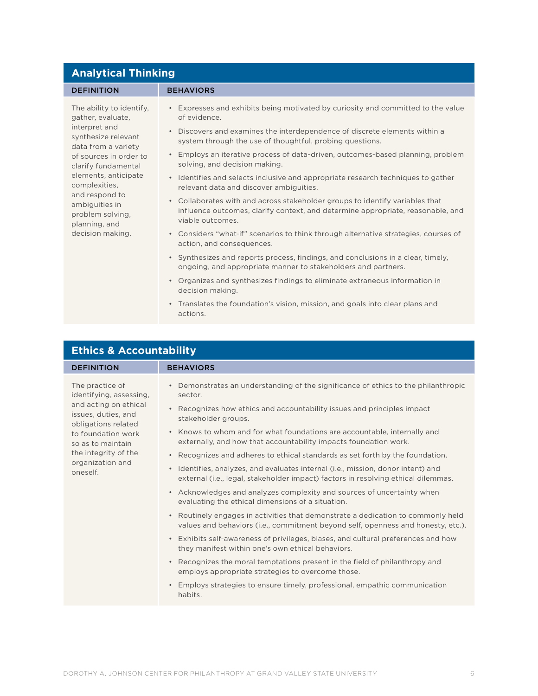| <b>Analytical Thinking</b>                                                                                                                                                                                                                                                                          |                                                                                                                                                                                                                                                                                                                                                                                                                                                                                                                                                                                                                                                                                                                                                                                                                                                                                                                                                                                                                                                                                                                                                                          |  |
|-----------------------------------------------------------------------------------------------------------------------------------------------------------------------------------------------------------------------------------------------------------------------------------------------------|--------------------------------------------------------------------------------------------------------------------------------------------------------------------------------------------------------------------------------------------------------------------------------------------------------------------------------------------------------------------------------------------------------------------------------------------------------------------------------------------------------------------------------------------------------------------------------------------------------------------------------------------------------------------------------------------------------------------------------------------------------------------------------------------------------------------------------------------------------------------------------------------------------------------------------------------------------------------------------------------------------------------------------------------------------------------------------------------------------------------------------------------------------------------------|--|
| <b>DEFINITION</b>                                                                                                                                                                                                                                                                                   | <b>BEHAVIORS</b>                                                                                                                                                                                                                                                                                                                                                                                                                                                                                                                                                                                                                                                                                                                                                                                                                                                                                                                                                                                                                                                                                                                                                         |  |
| The ability to identify,<br>gather, evaluate,<br>interpret and<br>synthesize relevant<br>data from a variety<br>of sources in order to<br>clarify fundamental<br>elements, anticipate<br>complexities,<br>and respond to<br>ambiguities in<br>problem solving,<br>planning, and<br>decision making. | • Expresses and exhibits being motivated by curiosity and committed to the value<br>of evidence.<br>Discovers and examines the interdependence of discrete elements within a<br>$\bullet$<br>system through the use of thoughtful, probing questions.<br>• Employs an iterative process of data-driven, outcomes-based planning, problem<br>solving, and decision making.<br>• Identifies and selects inclusive and appropriate research techniques to gather<br>relevant data and discover ambiguities.<br>• Collaborates with and across stakeholder groups to identify variables that<br>influence outcomes, clarify context, and determine appropriate, reasonable, and<br>viable outcomes.<br>• Considers "what-if" scenarios to think through alternative strategies, courses of<br>action, and consequences.<br>• Synthesizes and reports process, findings, and conclusions in a clear, timely,<br>ongoing, and appropriate manner to stakeholders and partners.<br>• Organizes and synthesizes findings to eliminate extraneous information in<br>decision making.<br>• Translates the foundation's vision, mission, and goals into clear plans and<br>actions. |  |
|                                                                                                                                                                                                                                                                                                     |                                                                                                                                                                                                                                                                                                                                                                                                                                                                                                                                                                                                                                                                                                                                                                                                                                                                                                                                                                                                                                                                                                                                                                          |  |

| <b>Ethics &amp; Accountability</b>                                                                                                                                                                                   |                                                                                                                                                                                                                                                                                                                                                                                                                                                                                                                                                                                                                                                                                                                                                                                                                                                                                                                                                                                                                                                                                                                                                                                                                                                                                                                                                 |
|----------------------------------------------------------------------------------------------------------------------------------------------------------------------------------------------------------------------|-------------------------------------------------------------------------------------------------------------------------------------------------------------------------------------------------------------------------------------------------------------------------------------------------------------------------------------------------------------------------------------------------------------------------------------------------------------------------------------------------------------------------------------------------------------------------------------------------------------------------------------------------------------------------------------------------------------------------------------------------------------------------------------------------------------------------------------------------------------------------------------------------------------------------------------------------------------------------------------------------------------------------------------------------------------------------------------------------------------------------------------------------------------------------------------------------------------------------------------------------------------------------------------------------------------------------------------------------|
| <b>DEFINITION</b>                                                                                                                                                                                                    | <b>BEHAVIORS</b>                                                                                                                                                                                                                                                                                                                                                                                                                                                                                                                                                                                                                                                                                                                                                                                                                                                                                                                                                                                                                                                                                                                                                                                                                                                                                                                                |
| The practice of<br>identifying, assessing,<br>and acting on ethical<br>issues, duties, and<br>obligations related<br>to foundation work<br>so as to maintain<br>the integrity of the<br>organization and<br>oneself. | Demonstrates an understanding of the significance of ethics to the philanthropic<br>$\bullet$<br>sector.<br>Recognizes how ethics and accountability issues and principles impact<br>$\bullet$<br>stakeholder groups.<br>• Knows to whom and for what foundations are accountable, internally and<br>externally, and how that accountability impacts foundation work.<br>Recognizes and adheres to ethical standards as set forth by the foundation.<br>$\bullet$<br>Identifies, analyzes, and evaluates internal (i.e., mission, donor intent) and<br>$\bullet$<br>external (i.e., legal, stakeholder impact) factors in resolving ethical dilemmas.<br>• Acknowledges and analyzes complexity and sources of uncertainty when<br>evaluating the ethical dimensions of a situation.<br>• Routinely engages in activities that demonstrate a dedication to commonly held<br>values and behaviors (i.e., commitment beyond self, openness and honesty, etc.).<br>• Exhibits self-awareness of privileges, biases, and cultural preferences and how<br>they manifest within one's own ethical behaviors.<br>• Recognizes the moral temptations present in the field of philanthropy and<br>employs appropriate strategies to overcome those.<br>Employs strategies to ensure timely, professional, empathic communication<br>$\bullet$<br>habits. |

**Ethics & Accountability**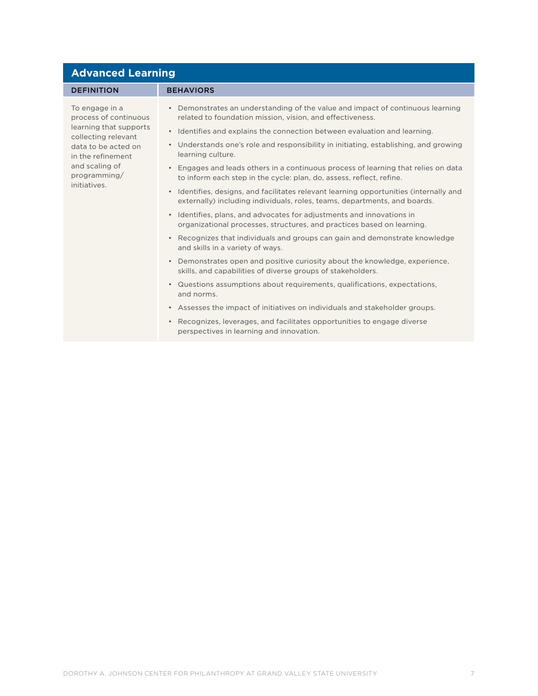| <b>Advanced Learning</b>                                                                                                                                                                                                      |                                                                                                                                                                                                                                                                                                                                                                                                                                                                                                                                                                                                                                                                                                                                                                                                                                                                                                                                                                                                                                                                                                                                                                                                                                                                                                                                                                                        |  |
|-------------------------------------------------------------------------------------------------------------------------------------------------------------------------------------------------------------------------------|----------------------------------------------------------------------------------------------------------------------------------------------------------------------------------------------------------------------------------------------------------------------------------------------------------------------------------------------------------------------------------------------------------------------------------------------------------------------------------------------------------------------------------------------------------------------------------------------------------------------------------------------------------------------------------------------------------------------------------------------------------------------------------------------------------------------------------------------------------------------------------------------------------------------------------------------------------------------------------------------------------------------------------------------------------------------------------------------------------------------------------------------------------------------------------------------------------------------------------------------------------------------------------------------------------------------------------------------------------------------------------------|--|
| <b>DEFINITION</b>                                                                                                                                                                                                             | <b>BEHAVIORS</b>                                                                                                                                                                                                                                                                                                                                                                                                                                                                                                                                                                                                                                                                                                                                                                                                                                                                                                                                                                                                                                                                                                                                                                                                                                                                                                                                                                       |  |
| To engage in a<br>process of continuous<br>learning that supports<br>$\bullet$<br>collecting relevant<br>data to be acted on<br>in the refinement<br>and scaling of<br>programming/<br>initiatives.<br>$\bullet$<br>$\bullet$ | • Demonstrates an understanding of the value and impact of continuous learning<br>related to foundation mission, vision, and effectiveness.<br>Identifies and explains the connection between evaluation and learning.<br>• Understands one's role and responsibility in initiating, establishing, and growing<br>learning culture.<br>Engages and leads others in a continuous process of learning that relies on data<br>to inform each step in the cycle: plan, do, assess, reflect, refine.<br>Identifies, designs, and facilitates relevant learning opportunities (internally and<br>externally) including individuals, roles, teams, departments, and boards.<br>Identifies, plans, and advocates for adjustments and innovations in<br>organizational processes, structures, and practices based on learning.<br>Recognizes that individuals and groups can gain and demonstrate knowledge<br>and skills in a variety of ways.<br>• Demonstrates open and positive curiosity about the knowledge, experience,<br>skills, and capabilities of diverse groups of stakeholders.<br>• Questions assumptions about requirements, qualifications, expectations,<br>and norms.<br>• Assesses the impact of initiatives on individuals and stakeholder groups.<br>• Recognizes, leverages, and facilitates opportunities to engage diverse<br>perspectives in learning and innovation. |  |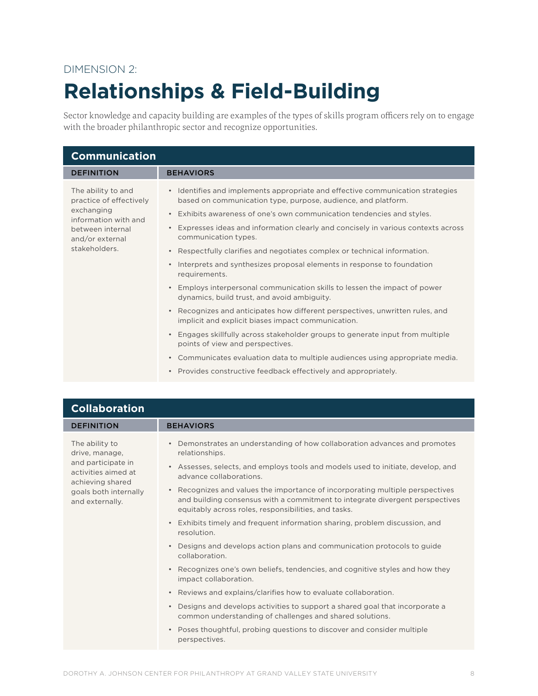### DIMENSION 2:

### **Relationships & Field-Building**

Sector knowledge and capacity building are examples of the types of skills program officers rely on to engage with the broader philanthropic sector and recognize opportunities.

| <b>Communication</b>                                                                                                                        |                                                                                                                                                                                                                                                                                                                                                                                                                                                                                                                                                                                                                                                                                                       |
|---------------------------------------------------------------------------------------------------------------------------------------------|-------------------------------------------------------------------------------------------------------------------------------------------------------------------------------------------------------------------------------------------------------------------------------------------------------------------------------------------------------------------------------------------------------------------------------------------------------------------------------------------------------------------------------------------------------------------------------------------------------------------------------------------------------------------------------------------------------|
| <b>DEFINITION</b>                                                                                                                           | <b>BEHAVIORS</b>                                                                                                                                                                                                                                                                                                                                                                                                                                                                                                                                                                                                                                                                                      |
| The ability to and<br>practice of effectively<br>exchanging<br>information with and<br>between internal<br>and/or external<br>stakeholders. | • Identifies and implements appropriate and effective communication strategies<br>based on communication type, purpose, audience, and platform.<br>Exhibits awareness of one's own communication tendencies and styles.<br>$\bullet$<br>Expresses ideas and information clearly and concisely in various contexts across<br>$\bullet$<br>communication types.<br>Respectfully clarifies and negotiates complex or technical information.<br>$\bullet$<br>Interprets and synthesizes proposal elements in response to foundation<br>$\bullet$<br>requirements.<br>Employs interpersonal communication skills to lessen the impact of power<br>$\bullet$<br>dynamics, build trust, and avoid ambiguity. |
|                                                                                                                                             | Recognizes and anticipates how different perspectives, unwritten rules, and<br>$\bullet$<br>implicit and explicit biases impact communication.                                                                                                                                                                                                                                                                                                                                                                                                                                                                                                                                                        |
|                                                                                                                                             | Engages skillfully across stakeholder groups to generate input from multiple<br>$\bullet$<br>points of view and perspectives.                                                                                                                                                                                                                                                                                                                                                                                                                                                                                                                                                                         |
|                                                                                                                                             | Communicates evaluation data to multiple audiences using appropriate media.<br>$\bullet$                                                                                                                                                                                                                                                                                                                                                                                                                                                                                                                                                                                                              |
|                                                                                                                                             | Provides constructive feedback effectively and appropriately.<br>$\bullet$                                                                                                                                                                                                                                                                                                                                                                                                                                                                                                                                                                                                                            |

| <b>Collaboration</b>                                                                                                                          |                                                                                                                                                                                                                                                                                                                                                                                                                                                                                                                                                                                                                                                                                                                                                                                                                                                                                                                                                                                                                                                                                                             |
|-----------------------------------------------------------------------------------------------------------------------------------------------|-------------------------------------------------------------------------------------------------------------------------------------------------------------------------------------------------------------------------------------------------------------------------------------------------------------------------------------------------------------------------------------------------------------------------------------------------------------------------------------------------------------------------------------------------------------------------------------------------------------------------------------------------------------------------------------------------------------------------------------------------------------------------------------------------------------------------------------------------------------------------------------------------------------------------------------------------------------------------------------------------------------------------------------------------------------------------------------------------------------|
| <b>DEFINITION</b>                                                                                                                             | <b>BEHAVIORS</b>                                                                                                                                                                                                                                                                                                                                                                                                                                                                                                                                                                                                                                                                                                                                                                                                                                                                                                                                                                                                                                                                                            |
| The ability to<br>drive, manage,<br>and participate in<br>activities aimed at<br>achieving shared<br>goals both internally<br>and externally. | Demonstrates an understanding of how collaboration advances and promotes<br>relationships.<br>Assesses, selects, and employs tools and models used to initiate, develop, and<br>$\bullet$<br>advance collaborations.<br>• Recognizes and values the importance of incorporating multiple perspectives<br>and building consensus with a commitment to integrate divergent perspectives<br>equitably across roles, responsibilities, and tasks.<br>Exhibits timely and frequent information sharing, problem discussion, and<br>$\bullet$<br>resolution.<br>Designs and develops action plans and communication protocols to guide<br>$\bullet$<br>collaboration.<br>• Recognizes one's own beliefs, tendencies, and cognitive styles and how they<br>impact collaboration.<br>• Reviews and explains/clarifies how to evaluate collaboration.<br>Designs and develops activities to support a shared goal that incorporate a<br>$\bullet$<br>common understanding of challenges and shared solutions.<br>Poses thoughtful, probing questions to discover and consider multiple<br>$\bullet$<br>perspectives. |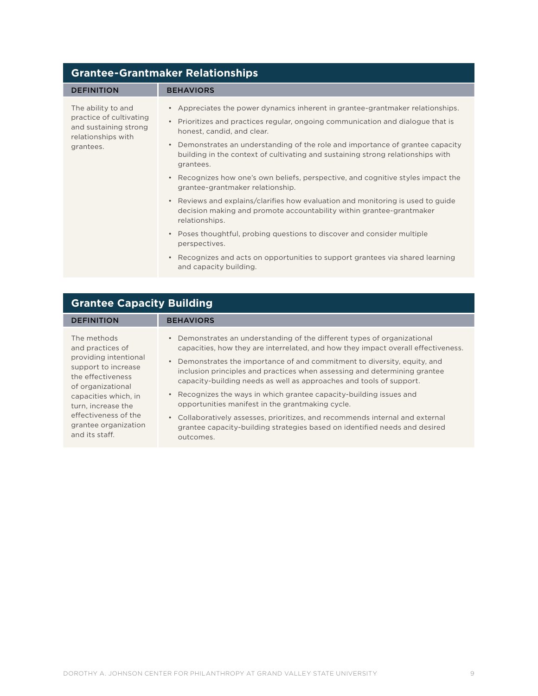| <b>Grantee-Grantmaker Relationships</b>                                                                   |                                                                                                                                                                                                                                                                                                                                                                                                                                                                                                                                                                                                                                                                                                                                                                                                                                                                                                                                                       |  |
|-----------------------------------------------------------------------------------------------------------|-------------------------------------------------------------------------------------------------------------------------------------------------------------------------------------------------------------------------------------------------------------------------------------------------------------------------------------------------------------------------------------------------------------------------------------------------------------------------------------------------------------------------------------------------------------------------------------------------------------------------------------------------------------------------------------------------------------------------------------------------------------------------------------------------------------------------------------------------------------------------------------------------------------------------------------------------------|--|
| <b>DEFINITION</b>                                                                                         | <b>BEHAVIORS</b>                                                                                                                                                                                                                                                                                                                                                                                                                                                                                                                                                                                                                                                                                                                                                                                                                                                                                                                                      |  |
| The ability to and<br>practice of cultivating<br>and sustaining strong<br>relationships with<br>grantees. | • Appreciates the power dynamics inherent in grantee-grantmaker relationships.<br>Prioritizes and practices regular, ongoing communication and dialogue that is<br>$\bullet$<br>honest, candid, and clear.<br>Demonstrates an understanding of the role and importance of grantee capacity<br>$\bullet$<br>building in the context of cultivating and sustaining strong relationships with<br>grantees.<br>Recognizes how one's own beliefs, perspective, and cognitive styles impact the<br>$\bullet$<br>grantee-grantmaker relationship.<br>Reviews and explains/clarifies how evaluation and monitoring is used to guide<br>$\bullet$<br>decision making and promote accountability within grantee-grantmaker<br>relationships.<br>• Poses thoughtful, probing questions to discover and consider multiple<br>perspectives.<br>Recognizes and acts on opportunities to support grantees via shared learning<br>$\bullet$<br>and capacity building. |  |

| <b>Grantee Capacity Building</b>                                                                                                                                                                                                          |                                                                                                                                                                                                                                                                                                                                                                                                                                                                                                                                                                                                                                                                                                                  |
|-------------------------------------------------------------------------------------------------------------------------------------------------------------------------------------------------------------------------------------------|------------------------------------------------------------------------------------------------------------------------------------------------------------------------------------------------------------------------------------------------------------------------------------------------------------------------------------------------------------------------------------------------------------------------------------------------------------------------------------------------------------------------------------------------------------------------------------------------------------------------------------------------------------------------------------------------------------------|
| <b>DEFINITION</b>                                                                                                                                                                                                                         | <b>BEHAVIORS</b>                                                                                                                                                                                                                                                                                                                                                                                                                                                                                                                                                                                                                                                                                                 |
| The methods<br>and practices of<br>providing intentional<br>support to increase<br>the effectiveness<br>of organizational<br>capacities which, in<br>turn, increase the<br>effectiveness of the<br>grantee organization<br>and its staff. | • Demonstrates an understanding of the different types of organizational<br>capacities, how they are interrelated, and how they impact overall effectiveness.<br>Demonstrates the importance of and commitment to diversity, equity, and<br>$\bullet$<br>inclusion principles and practices when assessing and determining grantee<br>capacity-building needs as well as approaches and tools of support.<br>• Recognizes the ways in which grantee capacity-building issues and<br>opportunities manifest in the grantmaking cycle.<br>• Collaboratively assesses, prioritizes, and recommends internal and external<br>grantee capacity-building strategies based on identified needs and desired<br>outcomes. |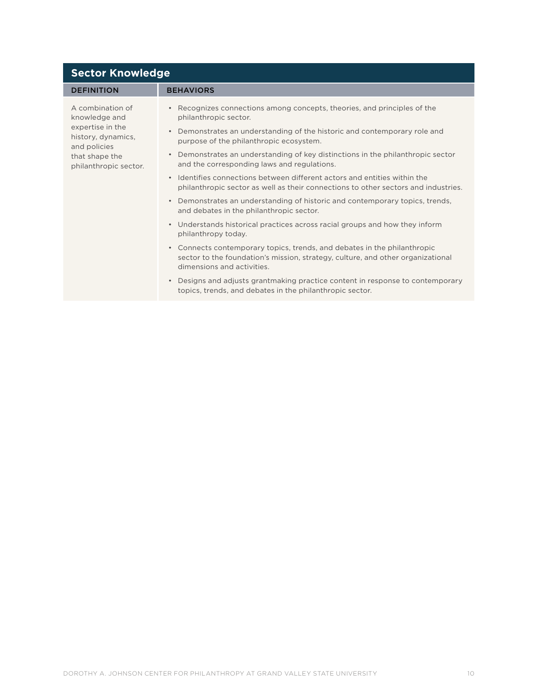| <b>Sector Knowledge</b>                                                                                                                |                                                                                                                                                                                           |  |
|----------------------------------------------------------------------------------------------------------------------------------------|-------------------------------------------------------------------------------------------------------------------------------------------------------------------------------------------|--|
| <b>DEFINITION</b>                                                                                                                      | <b>BEHAVIORS</b>                                                                                                                                                                          |  |
| A combination of<br>knowledge and<br>expertise in the<br>history, dynamics,<br>and policies<br>that shape the<br>philanthropic sector. | • Recognizes connections among concepts, theories, and principles of the<br>philanthropic sector.                                                                                         |  |
|                                                                                                                                        | • Demonstrates an understanding of the historic and contemporary role and<br>purpose of the philanthropic ecosystem.                                                                      |  |
|                                                                                                                                        | Demonstrates an understanding of key distinctions in the philanthropic sector<br>$\bullet$<br>and the corresponding laws and regulations.                                                 |  |
|                                                                                                                                        | • Identifies connections between different actors and entities within the<br>philanthropic sector as well as their connections to other sectors and industries.                           |  |
|                                                                                                                                        | • Demonstrates an understanding of historic and contemporary topics, trends,<br>and debates in the philanthropic sector.                                                                  |  |
|                                                                                                                                        | • Understands historical practices across racial groups and how they inform<br>philanthropy today.                                                                                        |  |
|                                                                                                                                        | • Connects contemporary topics, trends, and debates in the philanthropic<br>sector to the foundation's mission, strategy, culture, and other organizational<br>dimensions and activities. |  |
|                                                                                                                                        | Designs and adjusts grantmaking practice content in response to contemporary<br>$\bullet$<br>topics, trends, and debates in the philanthropic sector.                                     |  |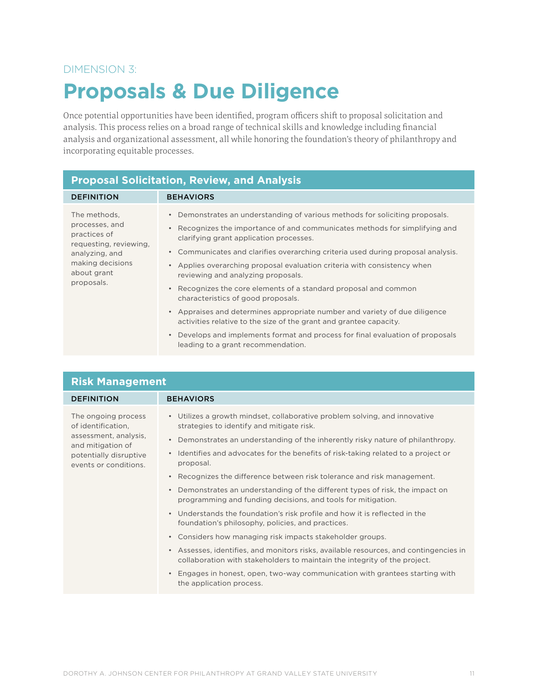### DIMENSION 3:

### **Proposals & Due Diligence**

Once potential opportunities have been identified, program officers shift to proposal solicitation and analysis. This process relies on a broad range of technical skills and knowledge including financial analysis and organizational assessment, all while honoring the foundation's theory of philanthropy and incorporating equitable processes.

#### **Proposal Solicitation, Review, and Analysis** DEFINITION BEHAVIORS The methods, processes, and practices of requesting, reviewing, analyzing, and making decisions about grant proposals. • Demonstrates an understanding of various methods for soliciting proposals. • Recognizes the importance of and communicates methods for simplifying and clarifying grant application processes. • Communicates and clarifies overarching criteria used during proposal analysis. • Applies overarching proposal evaluation criteria with consistency when reviewing and analyzing proposals. • Recognizes the core elements of a standard proposal and common characteristics of good proposals. • Appraises and determines appropriate number and variety of due diligence activities relative to the size of the grant and grantee capacity. • Develops and implements format and process for final evaluation of proposals leading to a grant recommendation.

| <b>Risk Management</b>                                                                                                                     |                                                                                                                                                                                                                                                                                                                                                                                                                                                                                                                                                                                                                                                                                                                                                                                                                                                                                                                                                                                                                                           |
|--------------------------------------------------------------------------------------------------------------------------------------------|-------------------------------------------------------------------------------------------------------------------------------------------------------------------------------------------------------------------------------------------------------------------------------------------------------------------------------------------------------------------------------------------------------------------------------------------------------------------------------------------------------------------------------------------------------------------------------------------------------------------------------------------------------------------------------------------------------------------------------------------------------------------------------------------------------------------------------------------------------------------------------------------------------------------------------------------------------------------------------------------------------------------------------------------|
| <b>DEFINITION</b>                                                                                                                          | <b>BEHAVIORS</b>                                                                                                                                                                                                                                                                                                                                                                                                                                                                                                                                                                                                                                                                                                                                                                                                                                                                                                                                                                                                                          |
| The ongoing process<br>of identification,<br>assessment, analysis,<br>and mitigation of<br>potentially disruptive<br>events or conditions. | • Utilizes a growth mindset, collaborative problem solving, and innovative<br>strategies to identify and mitigate risk.<br>Demonstrates an understanding of the inherently risky nature of philanthropy.<br>Identifies and advocates for the benefits of risk-taking related to a project or<br>$\bullet$<br>proposal.<br>Recognizes the difference between risk tolerance and risk management.<br>Demonstrates an understanding of the different types of risk, the impact on<br>programming and funding decisions, and tools for mitigation.<br>• Understands the foundation's risk profile and how it is reflected in the<br>foundation's philosophy, policies, and practices.<br>• Considers how managing risk impacts stakeholder groups.<br>Assesses, identifies, and monitors risks, available resources, and contingencies in<br>$\bullet$<br>collaboration with stakeholders to maintain the integrity of the project.<br>Engages in honest, open, two-way communication with grantees starting with<br>the application process. |
|                                                                                                                                            |                                                                                                                                                                                                                                                                                                                                                                                                                                                                                                                                                                                                                                                                                                                                                                                                                                                                                                                                                                                                                                           |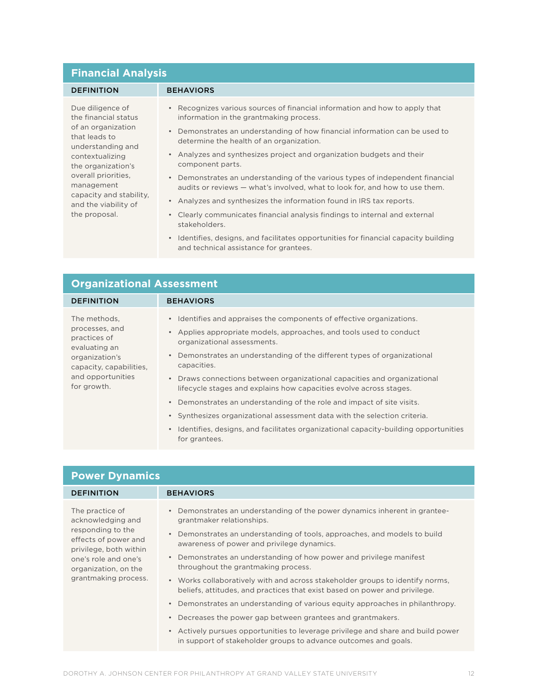### **Financial Analysis**

| <b>DEFINITION</b>                                                                                                                                                                                                                                      | <b>BEHAVIORS</b>                                                                                                                                                                                                                                                                                                                                                                                                                                                                                                                                                                                                                                                               |
|--------------------------------------------------------------------------------------------------------------------------------------------------------------------------------------------------------------------------------------------------------|--------------------------------------------------------------------------------------------------------------------------------------------------------------------------------------------------------------------------------------------------------------------------------------------------------------------------------------------------------------------------------------------------------------------------------------------------------------------------------------------------------------------------------------------------------------------------------------------------------------------------------------------------------------------------------|
| Due diligence of<br>the financial status<br>of an organization<br>that leads to<br>understanding and<br>contextualizing<br>the organization's<br>overall priorities.<br>management<br>capacity and stability.<br>and the viability of<br>the proposal. | Recognizes various sources of financial information and how to apply that<br>information in the grantmaking process.<br>Demonstrates an understanding of how financial information can be used to<br>determine the health of an organization.<br>• Analyzes and synthesizes project and organization budgets and their<br>component parts.<br>Demonstrates an understanding of the various types of independent financial<br>audits or reviews — what's involved, what to look for, and how to use them.<br>• Analyzes and synthesizes the information found in IRS tax reports.<br>Clearly communicates financial analysis findings to internal and external<br>stakeholders. |
|                                                                                                                                                                                                                                                        | Identifies, designs, and facilitates opportunities for financial capacity building                                                                                                                                                                                                                                                                                                                                                                                                                                                                                                                                                                                             |

and technical assistance for grantees.

| <b>Organizational Assessment</b>                                                                                                                 |                                                                                                                                                                                                                                                                                                                                                                                                                                                                                                                                                                                                                                                                                     |
|--------------------------------------------------------------------------------------------------------------------------------------------------|-------------------------------------------------------------------------------------------------------------------------------------------------------------------------------------------------------------------------------------------------------------------------------------------------------------------------------------------------------------------------------------------------------------------------------------------------------------------------------------------------------------------------------------------------------------------------------------------------------------------------------------------------------------------------------------|
| <b>DEFINITION</b>                                                                                                                                | <b>BEHAVIORS</b>                                                                                                                                                                                                                                                                                                                                                                                                                                                                                                                                                                                                                                                                    |
| The methods,<br>processes, and<br>practices of<br>evaluating an<br>organization's<br>capacity, capabilities,<br>and opportunities<br>for growth. | • Identifies and appraises the components of effective organizations.<br>Applies appropriate models, approaches, and tools used to conduct<br>organizational assessments.<br>Demonstrates an understanding of the different types of organizational<br>capacities.<br>• Draws connections between organizational capacities and organizational<br>lifecycle stages and explains how capacities evolve across stages.<br>• Demonstrates an understanding of the role and impact of site visits.<br>• Synthesizes organizational assessment data with the selection criteria.<br>Identifies, designs, and facilitates organizational capacity-building opportunities<br>for grantees. |

| <b>Power Dynamics</b>                                                                                                                                                               |                                                                                                                                                                                                                                                                                                                                                                                                                                                                                                                                                                                                                                                                                                                                                                                                                                                   |
|-------------------------------------------------------------------------------------------------------------------------------------------------------------------------------------|---------------------------------------------------------------------------------------------------------------------------------------------------------------------------------------------------------------------------------------------------------------------------------------------------------------------------------------------------------------------------------------------------------------------------------------------------------------------------------------------------------------------------------------------------------------------------------------------------------------------------------------------------------------------------------------------------------------------------------------------------------------------------------------------------------------------------------------------------|
| <b>DEFINITION</b>                                                                                                                                                                   | <b>BEHAVIORS</b>                                                                                                                                                                                                                                                                                                                                                                                                                                                                                                                                                                                                                                                                                                                                                                                                                                  |
| The practice of<br>acknowledging and<br>responding to the<br>effects of power and<br>privilege, both within<br>one's role and one's<br>organization, on the<br>grantmaking process. | Demonstrates an understanding of the power dynamics inherent in grantee-<br>grantmaker relationships.<br>Demonstrates an understanding of tools, approaches, and models to build<br>$\bullet$<br>awareness of power and privilege dynamics.<br>Demonstrates an understanding of how power and privilege manifest<br>$\bullet$<br>throughout the grantmaking process.<br>• Works collaboratively with and across stakeholder groups to identify norms,<br>beliefs, attitudes, and practices that exist based on power and privilege.<br>Demonstrates an understanding of various equity approaches in philanthropy.<br>Decreases the power gap between grantees and grantmakers.<br>Actively pursues opportunities to leverage privilege and share and build power<br>$\bullet$<br>in support of stakeholder groups to advance outcomes and goals. |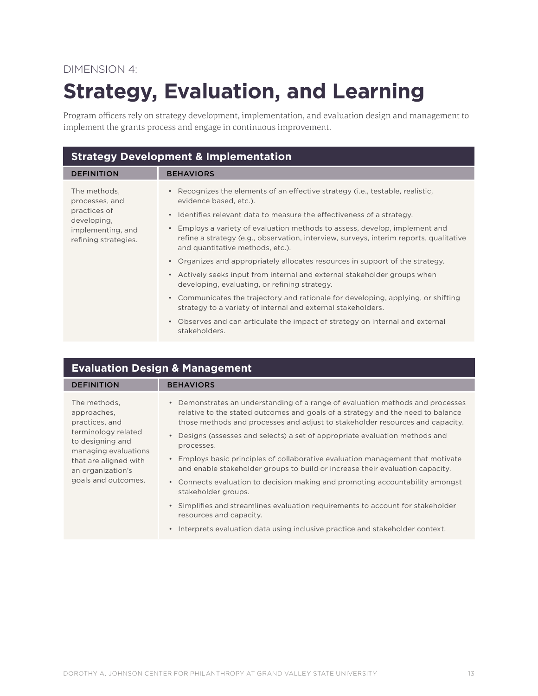### DIMENSION 4:

## **Strategy, Evaluation, and Learning**

Program officers rely on strategy development, implementation, and evaluation design and management to implement the grants process and engage in continuous improvement.

| <b>Strategy Development &amp; Implementation</b>                                                           |                                                                                                                                                                                                                      |
|------------------------------------------------------------------------------------------------------------|----------------------------------------------------------------------------------------------------------------------------------------------------------------------------------------------------------------------|
| <b>DEFINITION</b>                                                                                          | <b>BEHAVIORS</b>                                                                                                                                                                                                     |
| The methods,<br>processes, and<br>practices of<br>developing,<br>implementing, and<br>refining strategies. | • Recognizes the elements of an effective strategy (i.e., testable, realistic,<br>evidence based, etc.).                                                                                                             |
|                                                                                                            | • Identifies relevant data to measure the effectiveness of a strategy.                                                                                                                                               |
|                                                                                                            | Employs a variety of evaluation methods to assess, develop, implement and<br>$\bullet$<br>refine a strategy (e.g., observation, interview, surveys, interim reports, qualitative<br>and quantitative methods, etc.). |
|                                                                                                            | • Organizes and appropriately allocates resources in support of the strategy.                                                                                                                                        |
|                                                                                                            | • Actively seeks input from internal and external stakeholder groups when<br>developing, evaluating, or refining strategy.                                                                                           |
|                                                                                                            | • Communicates the trajectory and rationale for developing, applying, or shifting<br>strategy to a variety of internal and external stakeholders.                                                                    |
|                                                                                                            | • Observes and can articulate the impact of strategy on internal and external<br>stakeholders.                                                                                                                       |

| <b>Evaluation Design &amp; Management</b>                                                                                                                                             |                                                                                                                                                                                                                                                                                                                                                                                                                                                                                                                                                                                                                                                                                                                                                   |
|---------------------------------------------------------------------------------------------------------------------------------------------------------------------------------------|---------------------------------------------------------------------------------------------------------------------------------------------------------------------------------------------------------------------------------------------------------------------------------------------------------------------------------------------------------------------------------------------------------------------------------------------------------------------------------------------------------------------------------------------------------------------------------------------------------------------------------------------------------------------------------------------------------------------------------------------------|
| <b>DEFINITION</b>                                                                                                                                                                     | <b>BEHAVIORS</b>                                                                                                                                                                                                                                                                                                                                                                                                                                                                                                                                                                                                                                                                                                                                  |
| The methods,<br>approaches,<br>practices, and<br>terminology related<br>to designing and<br>managing evaluations<br>that are aligned with<br>an organization's<br>goals and outcomes. | Demonstrates an understanding of a range of evaluation methods and processes<br>relative to the stated outcomes and goals of a strategy and the need to balance<br>those methods and processes and adjust to stakeholder resources and capacity.<br>Designs (assesses and selects) a set of appropriate evaluation methods and<br>processes.<br>Employs basic principles of collaborative evaluation management that motivate<br>$\bullet$<br>and enable stakeholder groups to build or increase their evaluation capacity.<br>• Connects evaluation to decision making and promoting accountability amongst<br>stakeholder groups.<br>• Simplifies and streamlines evaluation requirements to account for stakeholder<br>resources and capacity. |
|                                                                                                                                                                                       | Interprets evaluation data using inclusive practice and stakeholder context.<br>$\bullet$                                                                                                                                                                                                                                                                                                                                                                                                                                                                                                                                                                                                                                                         |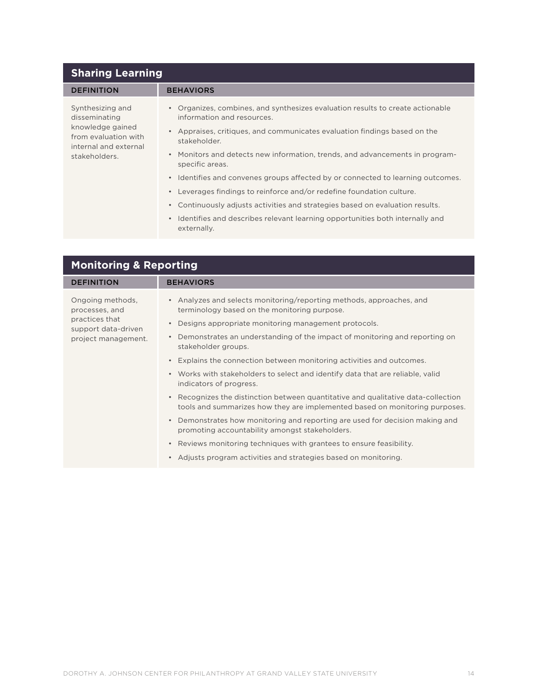| <b>Sharing Learning</b>                                                                                                 |                                                                                                                                                                                                                                                                                                                                                                                                                                                                                                                                                                                                                                                                                                                 |
|-------------------------------------------------------------------------------------------------------------------------|-----------------------------------------------------------------------------------------------------------------------------------------------------------------------------------------------------------------------------------------------------------------------------------------------------------------------------------------------------------------------------------------------------------------------------------------------------------------------------------------------------------------------------------------------------------------------------------------------------------------------------------------------------------------------------------------------------------------|
| <b>DEFINITION</b>                                                                                                       | <b>BEHAVIORS</b>                                                                                                                                                                                                                                                                                                                                                                                                                                                                                                                                                                                                                                                                                                |
| Synthesizing and<br>disseminating<br>knowledge gained<br>from evaluation with<br>internal and external<br>stakeholders. | • Organizes, combines, and synthesizes evaluation results to create actionable<br>information and resources.<br>Appraises, critiques, and communicates evaluation findings based on the<br>$\bullet$<br>stakeholder.<br>Monitors and detects new information, trends, and advancements in program-<br>$\bullet$<br>specific areas.<br>Identifies and convenes groups affected by or connected to learning outcomes.<br>$\bullet$<br>Leverages findings to reinforce and/or redefine foundation culture.<br>Continuously adjusts activities and strategies based on evaluation results.<br>$\bullet$<br>Identifies and describes relevant learning opportunities both internally and<br>$\bullet$<br>externally. |

| <b>Monitoring &amp; Reporting</b>                                                                  |                                                                                                                                                                                                                                                                                                                                                                                                                                                                                                                                                                                                                                                                                                                                                                                                                                                                                                                                                                                                 |
|----------------------------------------------------------------------------------------------------|-------------------------------------------------------------------------------------------------------------------------------------------------------------------------------------------------------------------------------------------------------------------------------------------------------------------------------------------------------------------------------------------------------------------------------------------------------------------------------------------------------------------------------------------------------------------------------------------------------------------------------------------------------------------------------------------------------------------------------------------------------------------------------------------------------------------------------------------------------------------------------------------------------------------------------------------------------------------------------------------------|
| <b>DEFINITION</b>                                                                                  | <b>BEHAVIORS</b>                                                                                                                                                                                                                                                                                                                                                                                                                                                                                                                                                                                                                                                                                                                                                                                                                                                                                                                                                                                |
| Ongoing methods,<br>processes, and<br>practices that<br>support data-driven<br>project management. | • Analyzes and selects monitoring/reporting methods, approaches, and<br>terminology based on the monitoring purpose.<br>Designs appropriate monitoring management protocols.<br>$\bullet$<br>Demonstrates an understanding of the impact of monitoring and reporting on<br>$\bullet$<br>stakeholder groups.<br>Explains the connection between monitoring activities and outcomes.<br>$\bullet$<br>• Works with stakeholders to select and identify data that are reliable, valid<br>indicators of progress.<br>Recognizes the distinction between quantitative and qualitative data-collection<br>$\bullet$<br>tools and summarizes how they are implemented based on monitoring purposes.<br>• Demonstrates how monitoring and reporting are used for decision making and<br>promoting accountability amongst stakeholders.<br>Reviews monitoring techniques with grantees to ensure feasibility.<br>$\bullet$<br>Adjusts program activities and strategies based on monitoring.<br>$\bullet$ |
|                                                                                                    |                                                                                                                                                                                                                                                                                                                                                                                                                                                                                                                                                                                                                                                                                                                                                                                                                                                                                                                                                                                                 |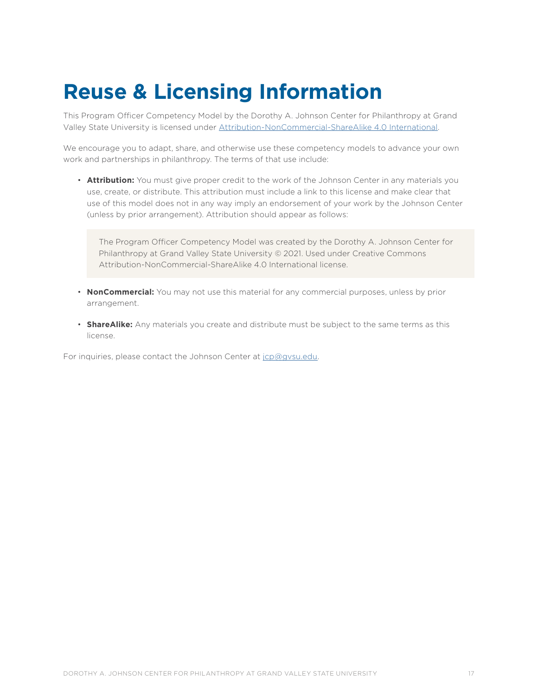### **Reuse & Licensing Information**

This Program Officer Competency Model by the Dorothy A. Johnson Center for Philanthropy at Grand Valley State University is licensed under [Attribution-NonCommercial-ShareAlike 4.0 International](https://creativecommons.org/licenses/by-nc-sa/4.0/?ref=chooser-v1).

We encourage you to adapt, share, and otherwise use these competency models to advance your own work and partnerships in philanthropy. The terms of that use include:

• **Attribution:** You must give proper credit to the work of the Johnson Center in any materials you use, create, or distribute. This attribution must include a link to this license and make clear that use of this model does not in any way imply an endorsement of your work by the Johnson Center (unless by prior arrangement). Attribution should appear as follows:

The Program Officer Competency Model was created by the Dorothy A. Johnson Center for Philanthropy at Grand Valley State University © 2021. Used under Creative Commons Attribution-NonCommercial-ShareAlike 4.0 International license.

- **NonCommercial:** You may not use this material for any commercial purposes, unless by prior arrangement.
- **ShareAlike:** Any materials you create and distribute must be subject to the same terms as this license.

For inquiries, please contact the Johnson Center at [jcp@gvsu.edu](mailto:jcp@gvsu.edu).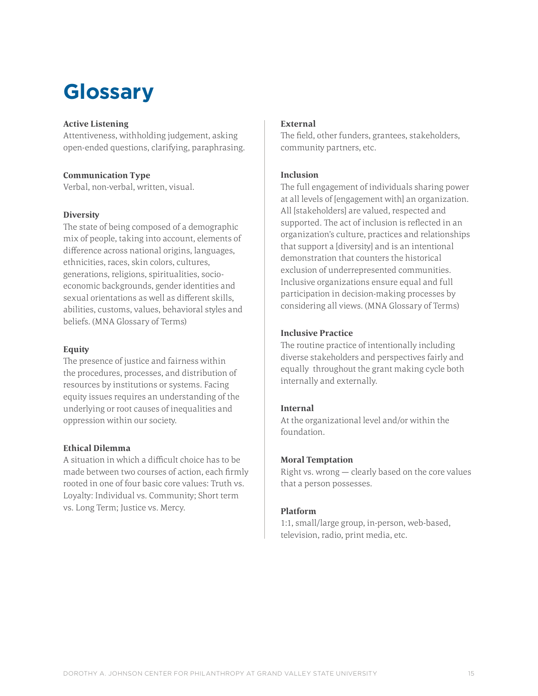### **Glossary**

#### **Active Listening**

Attentiveness, withholding judgement, asking open-ended questions, clarifying, paraphrasing.

#### **Communication Type**

Verbal, non-verbal, written, visual.

#### **Diversity**

The state of being composed of a demographic mix of people, taking into account, elements of difference across national origins, languages, ethnicities, races, skin colors, cultures, generations, religions, spiritualities, socioeconomic backgrounds, gender identities and sexual orientations as well as different skills, abilities, customs, values, behavioral styles and beliefs. (MNA Glossary of Terms)

#### **Equity**

The presence of justice and fairness within the procedures, processes, and distribution of resources by institutions or systems. Facing equity issues requires an understanding of the underlying or root causes of inequalities and oppression within our society.

#### **Ethical Dilemma**

A situation in which a difficult choice has to be made between two courses of action, each firmly rooted in one of four basic core values: Truth vs. Loyalty: Individual vs. Community; Short term vs. Long Term; Justice vs. Mercy.

### **External**

The field, other funders, grantees, stakeholders, community partners, etc.

### **Inclusion**

The full engagement of individuals sharing power at all levels of [engagement with] an organization. All [stakeholders] are valued, respected and supported. The act of inclusion is reflected in an organization's culture, practices and relationships that support a [diversity] and is an intentional demonstration that counters the historical exclusion of underrepresented communities. Inclusive organizations ensure equal and full participation in decision-making processes by considering all views. (MNA Glossary of Terms)

### **Inclusive Practice**

The routine practice of intentionally including diverse stakeholders and perspectives fairly and equally throughout the grant making cycle both internally and externally.

### **Internal**

At the organizational level and/or within the foundation.

### **Moral Temptation**

Right vs. wrong — clearly based on the core values that a person possesses.

### **Platform**

1:1, small/large group, in-person, web-based, television, radio, print media, etc.